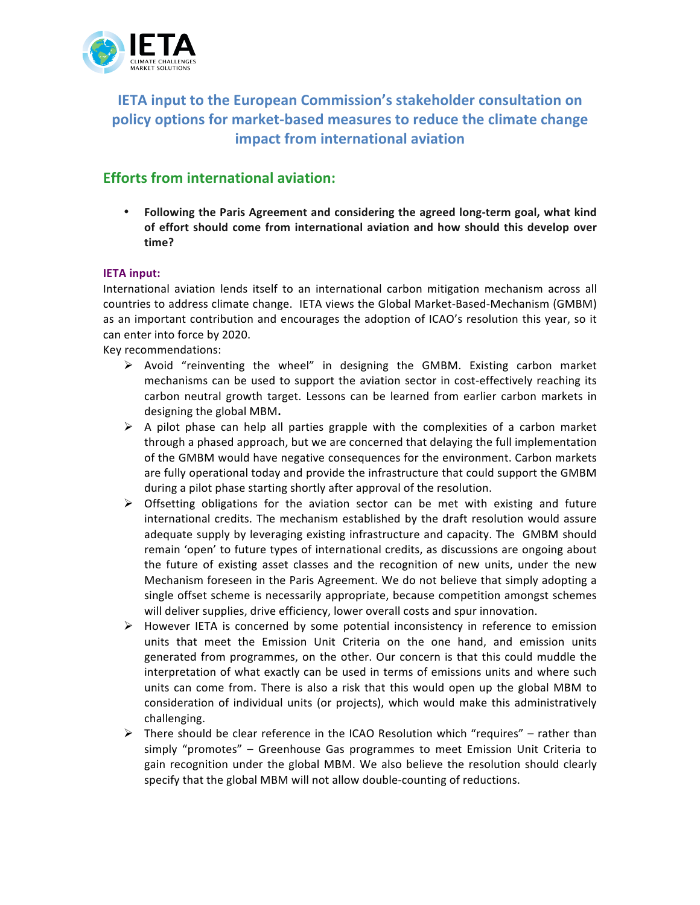

**IETA input to the European Commission's stakeholder consultation on** policy options for market-based measures to reduce the climate change **impact from international aviation** 

# **Efforts from international aviation:**

• Following the Paris Agreement and considering the agreed long-term goal, what kind of effort should come from international aviation and how should this develop over **time?**

# **IETA input:**

International aviation lends itself to an international carbon mitigation mechanism across all countries to address climate change. IETA views the Global Market-Based-Mechanism (GMBM) as an important contribution and encourages the adoption of ICAO's resolution this year, so it can enter into force by 2020.

Key recommendations:

- $\triangleright$  Avoid "reinventing the wheel" in designing the GMBM. Existing carbon market mechanisms can be used to support the aviation sector in cost-effectively reaching its carbon neutral growth target. Lessons can be learned from earlier carbon markets in designing the global MBM.
- $\triangleright$  A pilot phase can help all parties grapple with the complexities of a carbon market through a phased approach, but we are concerned that delaying the full implementation of the GMBM would have negative consequences for the environment. Carbon markets are fully operational today and provide the infrastructure that could support the GMBM during a pilot phase starting shortly after approval of the resolution.
- $\triangleright$  Offsetting obligations for the aviation sector can be met with existing and future international credits. The mechanism established by the draft resolution would assure adequate supply by leveraging existing infrastructure and capacity. The GMBM should remain 'open' to future types of international credits, as discussions are ongoing about the future of existing asset classes and the recognition of new units, under the new Mechanism foreseen in the Paris Agreement. We do not believe that simply adopting a single offset scheme is necessarily appropriate, because competition amongst schemes will deliver supplies, drive efficiency, lower overall costs and spur innovation.
- $\triangleright$  However IETA is concerned by some potential inconsistency in reference to emission units that meet the Emission Unit Criteria on the one hand, and emission units generated from programmes, on the other. Our concern is that this could muddle the interpretation of what exactly can be used in terms of emissions units and where such units can come from. There is also a risk that this would open up the global MBM to consideration of individual units (or projects), which would make this administratively challenging.
- $\triangleright$  There should be clear reference in the ICAO Resolution which "requires" rather than simply "promotes" – Greenhouse Gas programmes to meet Emission Unit Criteria to gain recognition under the global MBM. We also believe the resolution should clearly specify that the global MBM will not allow double-counting of reductions.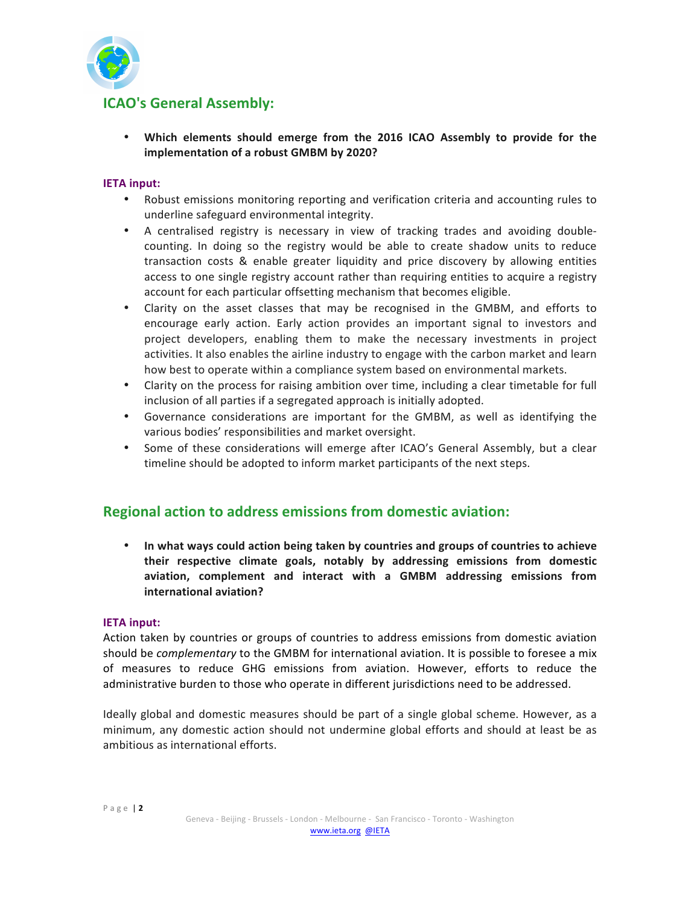

# **ICAO's General Assembly:**

• Which elements should emerge from the 2016 ICAO Assembly to provide for the **implementation of a robust GMBM by 2020?** 

### **IETA input:**

- Robust emissions monitoring reporting and verification criteria and accounting rules to underline safeguard environmental integrity.
- A centralised registry is necessary in view of tracking trades and avoiding doublecounting. In doing so the registry would be able to create shadow units to reduce transaction costs & enable greater liquidity and price discovery by allowing entities access to one single registry account rather than requiring entities to acquire a registry account for each particular offsetting mechanism that becomes eligible.
- Clarity on the asset classes that may be recognised in the GMBM, and efforts to encourage early action. Early action provides an important signal to investors and project developers, enabling them to make the necessary investments in project activities. It also enables the airline industry to engage with the carbon market and learn how best to operate within a compliance system based on environmental markets.
- Clarity on the process for raising ambition over time, including a clear timetable for full inclusion of all parties if a segregated approach is initially adopted.
- Governance considerations are important for the GMBM, as well as identifying the various bodies' responsibilities and market oversight.
- Some of these considerations will emerge after ICAO's General Assembly, but a clear timeline should be adopted to inform market participants of the next steps.

# **Regional action to address emissions from domestic aviation:**

• In what ways could action being taken by countries and groups of countries to achieve their respective climate goals, notably by addressing emissions from domestic aviation, complement and interact with a GMBM addressing emissions from **international aviation?** 

#### **IETA input:**

Action taken by countries or groups of countries to address emissions from domestic aviation should be *complementary* to the GMBM for international aviation. It is possible to foresee a mix of measures to reduce GHG emissions from aviation. However, efforts to reduce the administrative burden to those who operate in different jurisdictions need to be addressed.

Ideally global and domestic measures should be part of a single global scheme. However, as a minimum, any domestic action should not undermine global efforts and should at least be as ambitious as international efforts.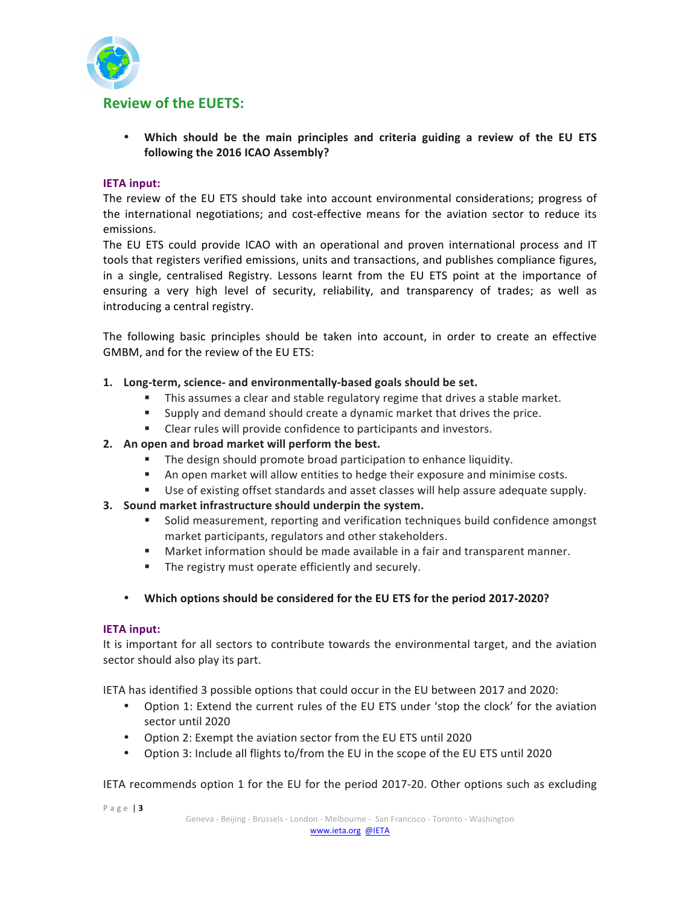

• Which should be the main principles and criteria guiding a review of the EU ETS following the 2016 ICAO Assembly?

#### **IETA input:**

The review of the EU ETS should take into account environmental considerations; progress of the international negotiations; and cost-effective means for the aviation sector to reduce its emissions.

The EU ETS could provide ICAO with an operational and proven international process and IT tools that registers verified emissions, units and transactions, and publishes compliance figures, in a single, centralised Registry. Lessons learnt from the EU ETS point at the importance of ensuring a very high level of security, reliability, and transparency of trades; as well as introducing a central registry.

The following basic principles should be taken into account, in order to create an effective GMBM, and for the review of the EU ETS:

#### 1. Long-term, science- and environmentally-based goals should be set.

- This assumes a clear and stable regulatory regime that drives a stable market.
- " Supply and demand should create a dynamic market that drives the price.
- " Clear rules will provide confidence to participants and investors.

#### 2. An open and broad market will perform the best.

- " The design should promote broad participation to enhance liquidity.
- " An open market will allow entities to hedge their exposure and minimise costs.
- " Use of existing offset standards and asset classes will help assure adequate supply.

#### **3.** Sound market infrastructure should underpin the system.

- " Solid measurement, reporting and verification techniques build confidence amongst market participants, regulators and other stakeholders.
- " Market information should be made available in a fair and transparent manner.
- " The registry must operate efficiently and securely.
- Which options should be considered for the EU ETS for the period 2017-2020?

#### **IETA input:**

It is important for all sectors to contribute towards the environmental target, and the aviation sector should also play its part.

IETA has identified 3 possible options that could occur in the EU between 2017 and 2020:

- Option 1: Extend the current rules of the EU ETS under 'stop the clock' for the aviation sector until 2020
- Option 2: Exempt the aviation sector from the EU ETS until 2020
- Option 3: Include all flights to/from the EU in the scope of the EU ETS until 2020

IETA recommends option 1 for the EU for the period 2017-20. Other options such as excluding

Page | 3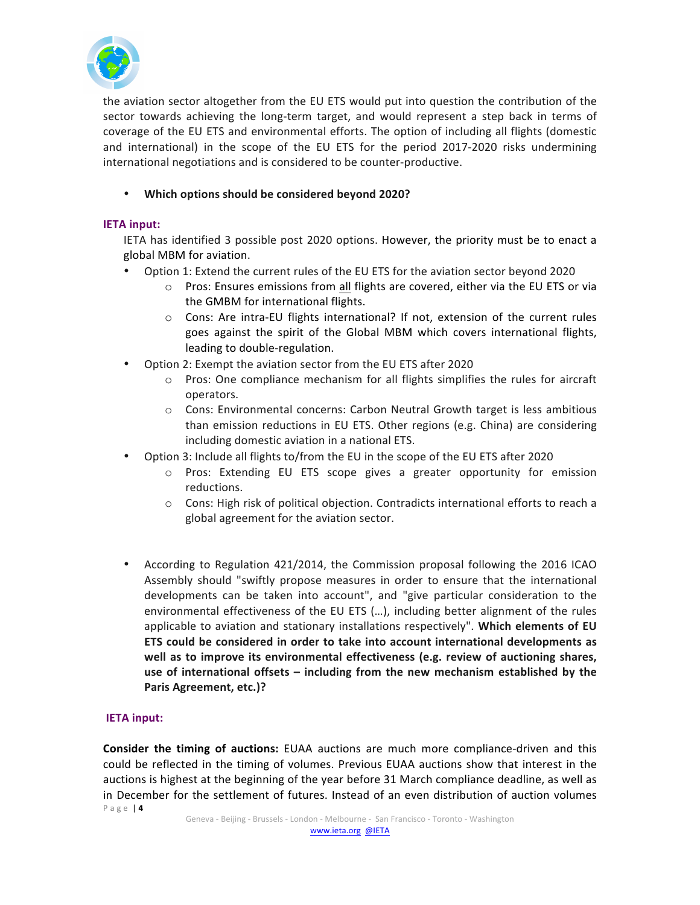

the aviation sector altogether from the EU ETS would put into question the contribution of the sector towards achieving the long-term target, and would represent a step back in terms of coverage of the EU ETS and environmental efforts. The option of including all flights (domestic and international) in the scope of the EU ETS for the period 2017-2020 risks undermining international negotiations and is considered to be counter-productive.

# • Which options should be considered beyond 2020?

## **IETA input:**

IETA has identified 3 possible post 2020 options. However, the priority must be to enact a global MBM for aviation.

- Option 1: Extend the current rules of the EU ETS for the aviation sector beyond 2020
	- $\circ$  Pros: Ensures emissions from all flights are covered, either via the EU ETS or via the GMBM for international flights.
	- $\circ$  Cons: Are intra-EU flights international? If not, extension of the current rules goes against the spirit of the Global MBM which covers international flights, leading to double-regulation.
- Option 2: Exempt the aviation sector from the EU ETS after 2020
	- $\circ$  Pros: One compliance mechanism for all flights simplifies the rules for aircraft operators.
	- $\circ$  Cons: Environmental concerns: Carbon Neutral Growth target is less ambitious than emission reductions in EU ETS. Other regions (e.g. China) are considering including domestic aviation in a national ETS.
- Option 3: Include all flights to/from the EU in the scope of the EU ETS after 2020
	- $\circ$  Pros: Extending EU ETS scope gives a greater opportunity for emission reductions.
	- $\circ$  Cons: High risk of political objection. Contradicts international efforts to reach a global agreement for the aviation sector.
- According to Regulation 421/2014, the Commission proposal following the 2016 ICAO Assembly should "swiftly propose measures in order to ensure that the international developments can be taken into account", and "give particular consideration to the environmental effectiveness of the EU ETS  $(...)$ , including better alignment of the rules applicable to aviation and stationary installations respectively". Which elements of EU ETS could be considered in order to take into account international developments as well as to improve its environmental effectiveness (e.g. review of auctioning shares, use of international offsets – including from the new mechanism established by the Paris Agreement, etc.)?

## **IETA input:**

Page | 4 **Consider the timing of auctions:** EUAA auctions are much more compliance-driven and this could be reflected in the timing of volumes. Previous EUAA auctions show that interest in the auctions is highest at the beginning of the year before 31 March compliance deadline, as well as in December for the settlement of futures. Instead of an even distribution of auction volumes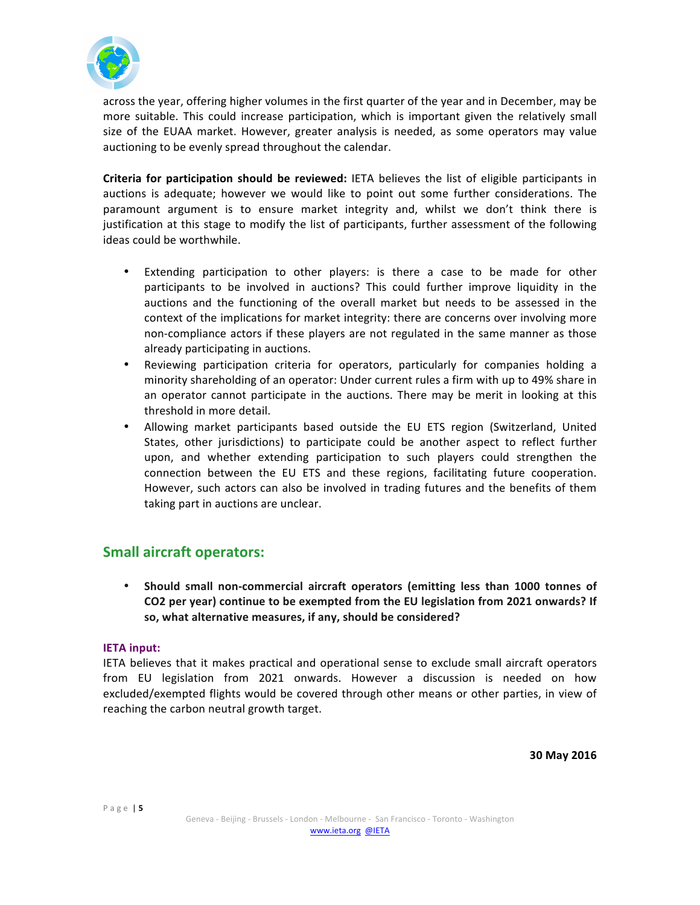

across the year, offering higher volumes in the first quarter of the year and in December, may be more suitable. This could increase participation, which is important given the relatively small size of the EUAA market. However, greater analysis is needed, as some operators may value auctioning to be evenly spread throughout the calendar.

**Criteria for participation should be reviewed:** IETA believes the list of eligible participants in auctions is adequate; however we would like to point out some further considerations. The paramount argument is to ensure market integrity and, whilst we don't think there is justification at this stage to modify the list of participants, further assessment of the following ideas could be worthwhile.

- Extending participation to other players: is there a case to be made for other participants to be involved in auctions? This could further improve liquidity in the auctions and the functioning of the overall market but needs to be assessed in the context of the implications for market integrity: there are concerns over involving more non-compliance actors if these players are not regulated in the same manner as those already participating in auctions.
- Reviewing participation criteria for operators, particularly for companies holding a minority shareholding of an operator: Under current rules a firm with up to 49% share in an operator cannot participate in the auctions. There may be merit in looking at this threshold in more detail.
- Allowing market participants based outside the EU ETS region (Switzerland, United States, other jurisdictions) to participate could be another aspect to reflect further upon, and whether extending participation to such players could strengthen the connection between the EU ETS and these regions, facilitating future cooperation. However, such actors can also be involved in trading futures and the benefits of them taking part in auctions are unclear.

# **Small aircraft operators:**

• Should small non-commercial aircraft operators (emitting less than 1000 tonnes of CO2 per year) continue to be exempted from the EU legislation from 2021 onwards? If so, what alternative measures, if any, should be considered?

## **IETA input:**

IETA believes that it makes practical and operational sense to exclude small aircraft operators from EU legislation from 2021 onwards. However a discussion is needed on how excluded/exempted flights would be covered through other means or other parties, in view of reaching the carbon neutral growth target.

**30!May!2016**